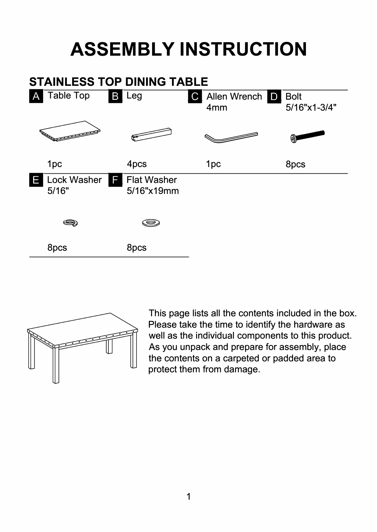## **ASSEMBLY INSTRUCTION**





This page lists all the contents included in the box. Please take the time to identify the hardware as well as the individual components to this product. As you unpack and prepare for assembly, place the contents on a carpeted or padded area to protect them from damage.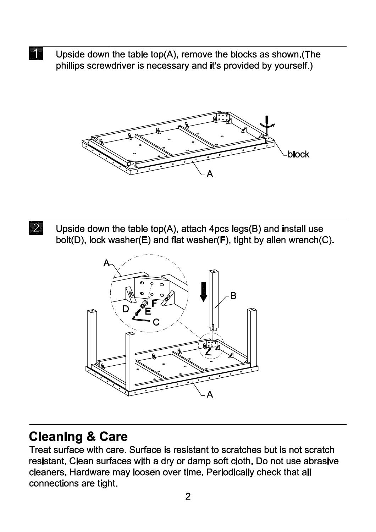$\blacktriangleleft$ Upside down the table top(A), remove the blocks as shown.(The phillips screwdriver is necessary and it's provided by yourself.)



 $\overline{2}$ Upside down the table top(A), attach 4pcs legs(B) and install use bolt(D), lock washer(E) and flat washer(F), tight by allen wrench(C).



## **Cleaning & Care**

Treat surface with care. Surface is resistant to scratches but is not scratch resistant. Clean surfaces with a dry or damp soft cloth. Do not use abrasive cleaners. Hardware may loosen over time. Periodically check that all connections are tight.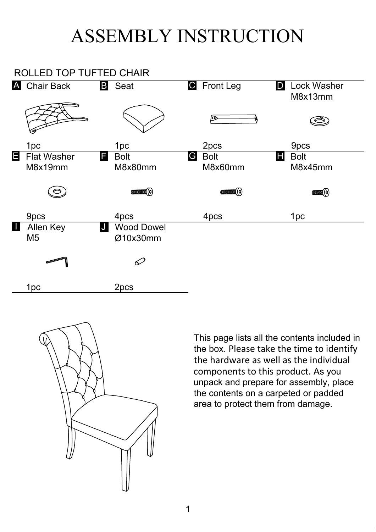## ASSEMBLY INSTRUCTION

| ASSEMBLY INSTRUCTION    |                                          |                                                                                                                                                                                                                                                                                                  |                             |                                    |
|-------------------------|------------------------------------------|--------------------------------------------------------------------------------------------------------------------------------------------------------------------------------------------------------------------------------------------------------------------------------------------------|-----------------------------|------------------------------------|
| ROLLED TOP TUFTED CHAIR |                                          |                                                                                                                                                                                                                                                                                                  |                             |                                    |
|                         | <b>A</b> Chair Back                      | <b>B</b> Seat                                                                                                                                                                                                                                                                                    | <b>G</b> Front Leg          | <b>Lock Washer</b><br>D<br>M8x13mm |
|                         |                                          |                                                                                                                                                                                                                                                                                                  |                             |                                    |
|                         | 1 <sub>pc</sub>                          | 1 <sub>pc</sub>                                                                                                                                                                                                                                                                                  | 2pcs                        | 9pcs                               |
| Е                       | <b>Flat Washer</b><br>Н<br>M8x19mm       | <b>Bolt</b><br>M8x80mm                                                                                                                                                                                                                                                                           | <b>Bolt</b><br>G<br>M8x60mm | <b>Bolt</b><br>Н<br>M8x45mm        |
|                         | $\circ$                                  | <b>COLORADO (C)</b>                                                                                                                                                                                                                                                                              | <b>COLORADO (C)</b>         | <b>EXECUTER</b>                    |
|                         | 9pcs                                     | 4pcs                                                                                                                                                                                                                                                                                             | 4pcs                        | 1 <sub>pc</sub>                    |
| ш                       | <b>Allen Key</b><br>IJ<br>M <sub>5</sub> | <b>Wood Dowel</b><br>Ø10x30mm                                                                                                                                                                                                                                                                    |                             |                                    |
|                         |                                          | $\varphi$                                                                                                                                                                                                                                                                                        |                             |                                    |
|                         | 1 <sub>pc</sub>                          | 2pcs                                                                                                                                                                                                                                                                                             |                             |                                    |
|                         |                                          | This page lists all the contents included in<br>the box. Please take the time to identify<br>the hardware as well as the individual<br>components to this product. As you<br>unpack and prepare for assembly, place<br>the contents on a carpeted or padded<br>area to protect them from damage. |                             |                                    |